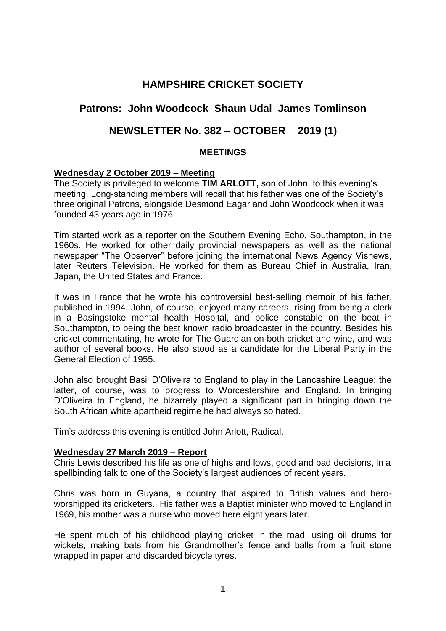# **HAMPSHIRE CRICKET SOCIETY**

# **Patrons: John Woodcock Shaun Udal James Tomlinson**

# **NEWSLETTER No. 382 – OCTOBER 2019 (1)**

# **MEETINGS**

# **Wednesday 2 October 2019 – Meeting**

The Society is privileged to welcome **TIM ARLOTT,** son of John, to this evening's meeting. Long-standing members will recall that his father was one of the Society's three original Patrons, alongside Desmond Eagar and John Woodcock when it was founded 43 years ago in 1976.

Tim started work as a reporter on the Southern Evening Echo, Southampton, in the 1960s. He worked for other daily provincial newspapers as well as the national newspaper "The Observer" before joining the international News Agency Visnews, later Reuters Television. He worked for them as Bureau Chief in Australia, Iran, Japan, the United States and France.

It was in France that he wrote his controversial best-selling memoir of his father, published in 1994. John, of course, enjoyed many careers, rising from being a clerk in a Basingstoke mental health Hospital, and police constable on the beat in Southampton, to being the best known radio broadcaster in the country. Besides his cricket commentating, he wrote for The Guardian on both cricket and wine, and was author of several books. He also stood as a candidate for the Liberal Party in the General Election of 1955.

John also brought Basil D'Oliveira to England to play in the Lancashire League; the latter, of course, was to progress to Worcestershire and England. In bringing D'Oliveira to England, he bizarrely played a significant part in bringing down the South African white apartheid regime he had always so hated.

Tim's address this evening is entitled John Arlott, Radical.

# **Wednesday 27 March 2019 – Report**

Chris Lewis described his life as one of highs and lows, good and bad decisions, in a spellbinding talk to one of the Society's largest audiences of recent years.

Chris was born in Guyana, a country that aspired to British values and heroworshipped its cricketers. His father was a Baptist minister who moved to England in 1969, his mother was a nurse who moved here eight years later.

He spent much of his childhood playing cricket in the road, using oil drums for wickets, making bats from his Grandmother's fence and balls from a fruit stone wrapped in paper and discarded bicycle tyres.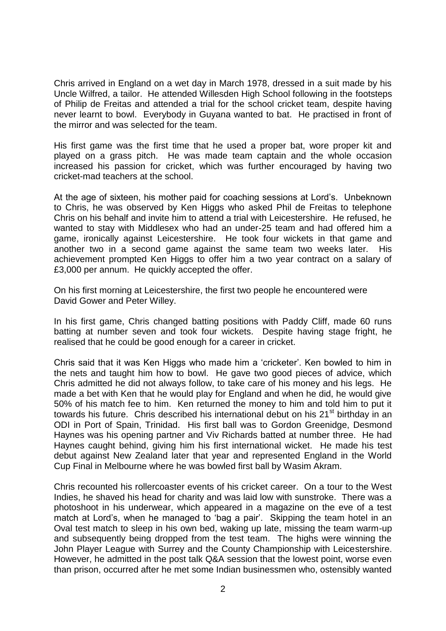Chris arrived in England on a wet day in March 1978, dressed in a suit made by his Uncle Wilfred, a tailor. He attended Willesden High School following in the footsteps of Philip de Freitas and attended a trial for the school cricket team, despite having never learnt to bowl. Everybody in Guyana wanted to bat. He practised in front of the mirror and was selected for the team.

His first game was the first time that he used a proper bat, wore proper kit and played on a grass pitch. He was made team captain and the whole occasion increased his passion for cricket, which was further encouraged by having two cricket-mad teachers at the school.

At the age of sixteen, his mother paid for coaching sessions at Lord's. Unbeknown to Chris, he was observed by Ken Higgs who asked Phil de Freitas to telephone Chris on his behalf and invite him to attend a trial with Leicestershire. He refused, he wanted to stay with Middlesex who had an under-25 team and had offered him a game, ironically against Leicestershire. He took four wickets in that game and another two in a second game against the same team two weeks later. His achievement prompted Ken Higgs to offer him a two year contract on a salary of £3,000 per annum. He quickly accepted the offer.

On his first morning at Leicestershire, the first two people he encountered were David Gower and Peter Willey.

In his first game, Chris changed batting positions with Paddy Cliff, made 60 runs batting at number seven and took four wickets. Despite having stage fright, he realised that he could be good enough for a career in cricket.

Chris said that it was Ken Higgs who made him a 'cricketer'. Ken bowled to him in the nets and taught him how to bowl. He gave two good pieces of advice, which Chris admitted he did not always follow, to take care of his money and his legs. He made a bet with Ken that he would play for England and when he did, he would give 50% of his match fee to him. Ken returned the money to him and told him to put it towards his future. Chris described his international debut on his 21<sup>st</sup> birthday in an ODI in Port of Spain, Trinidad. His first ball was to Gordon Greenidge, Desmond Haynes was his opening partner and Viv Richards batted at number three. He had Haynes caught behind, giving him his first international wicket. He made his test debut against New Zealand later that year and represented England in the World Cup Final in Melbourne where he was bowled first ball by Wasim Akram.

Chris recounted his rollercoaster events of his cricket career. On a tour to the West Indies, he shaved his head for charity and was laid low with sunstroke. There was a photoshoot in his underwear, which appeared in a magazine on the eve of a test match at Lord's, when he managed to 'bag a pair'. Skipping the team hotel in an Oval test match to sleep in his own bed, waking up late, missing the team warm-up and subsequently being dropped from the test team. The highs were winning the John Player League with Surrey and the County Championship with Leicestershire. However, he admitted in the post talk Q&A session that the lowest point, worse even than prison, occurred after he met some Indian businessmen who, ostensibly wanted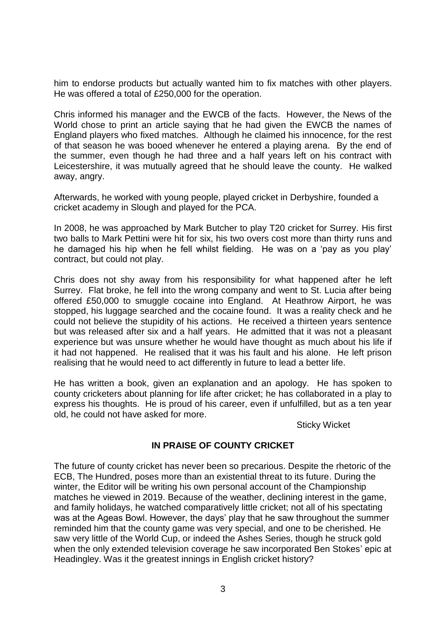him to endorse products but actually wanted him to fix matches with other players. He was offered a total of £250,000 for the operation.

Chris informed his manager and the EWCB of the facts. However, the News of the World chose to print an article saying that he had given the EWCB the names of England players who fixed matches. Although he claimed his innocence, for the rest of that season he was booed whenever he entered a playing arena. By the end of the summer, even though he had three and a half years left on his contract with Leicestershire, it was mutually agreed that he should leave the county. He walked away, angry.

Afterwards, he worked with young people, played cricket in Derbyshire, founded a cricket academy in Slough and played for the PCA.

In 2008, he was approached by Mark Butcher to play T20 cricket for Surrey. His first two balls to Mark Pettini were hit for six, his two overs cost more than thirty runs and he damaged his hip when he fell whilst fielding. He was on a 'pay as you play' contract, but could not play.

Chris does not shy away from his responsibility for what happened after he left Surrey. Flat broke, he fell into the wrong company and went to St. Lucia after being offered £50,000 to smuggle cocaine into England. At Heathrow Airport, he was stopped, his luggage searched and the cocaine found. It was a reality check and he could not believe the stupidity of his actions. He received a thirteen years sentence but was released after six and a half years. He admitted that it was not a pleasant experience but was unsure whether he would have thought as much about his life if it had not happened. He realised that it was his fault and his alone. He left prison realising that he would need to act differently in future to lead a better life.

He has written a book, given an explanation and an apology. He has spoken to county cricketers about planning for life after cricket; he has collaborated in a play to express his thoughts. He is proud of his career, even if unfulfilled, but as a ten year old, he could not have asked for more.

Sticky Wicket

# **IN PRAISE OF COUNTY CRICKET**

The future of county cricket has never been so precarious. Despite the rhetoric of the ECB, The Hundred, poses more than an existential threat to its future. During the winter, the Editor will be writing his own personal account of the Championship matches he viewed in 2019. Because of the weather, declining interest in the game, and family holidays, he watched comparatively little cricket; not all of his spectating was at the Ageas Bowl. However, the days' play that he saw throughout the summer reminded him that the county game was very special, and one to be cherished. He saw very little of the World Cup, or indeed the Ashes Series, though he struck gold when the only extended television coverage he saw incorporated Ben Stokes' epic at Headingley. Was it the greatest innings in English cricket history?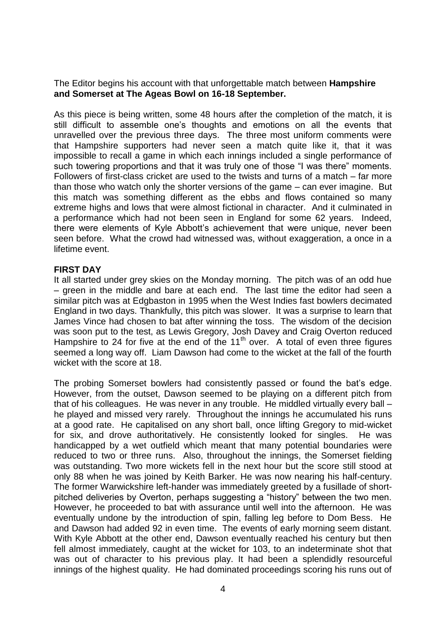The Editor begins his account with that unforgettable match between **Hampshire and Somerset at The Ageas Bowl on 16-18 September.** 

As this piece is being written, some 48 hours after the completion of the match, it is still difficult to assemble one's thoughts and emotions on all the events that unravelled over the previous three days. The three most uniform comments were that Hampshire supporters had never seen a match quite like it, that it was impossible to recall a game in which each innings included a single performance of such towering proportions and that it was truly one of those "I was there" moments. Followers of first-class cricket are used to the twists and turns of a match – far more than those who watch only the shorter versions of the game – can ever imagine. But this match was something different as the ebbs and flows contained so many extreme highs and lows that were almost fictional in character. And it culminated in a performance which had not been seen in England for some 62 years. Indeed, there were elements of Kyle Abbott's achievement that were unique, never been seen before. What the crowd had witnessed was, without exaggeration, a once in a lifetime event.

#### **FIRST DAY**

It all started under grey skies on the Monday morning. The pitch was of an odd hue – green in the middle and bare at each end. The last time the editor had seen a similar pitch was at Edgbaston in 1995 when the West Indies fast bowlers decimated England in two days. Thankfully, this pitch was slower. It was a surprise to learn that James Vince had chosen to bat after winning the toss. The wisdom of the decision was soon put to the test, as Lewis Gregory, Josh Davey and Craig Overton reduced Hampshire to 24 for five at the end of the 11<sup>th</sup> over. A total of even three figures seemed a long way off. Liam Dawson had come to the wicket at the fall of the fourth wicket with the score at 18.

The probing Somerset bowlers had consistently passed or found the bat's edge. However, from the outset, Dawson seemed to be playing on a different pitch from that of his colleagues. He was never in any trouble. He middled virtually every ball – he played and missed very rarely. Throughout the innings he accumulated his runs at a good rate. He capitalised on any short ball, once lifting Gregory to mid-wicket for six, and drove authoritatively. He consistently looked for singles. He was handicapped by a wet outfield which meant that many potential boundaries were reduced to two or three runs. Also, throughout the innings, the Somerset fielding was outstanding. Two more wickets fell in the next hour but the score still stood at only 88 when he was joined by Keith Barker. He was now nearing his half-century. The former Warwickshire left-hander was immediately greeted by a fusillade of shortpitched deliveries by Overton, perhaps suggesting a "history" between the two men. However, he proceeded to bat with assurance until well into the afternoon. He was eventually undone by the introduction of spin, falling leg before to Dom Bess. He and Dawson had added 92 in even time. The events of early morning seem distant. With Kyle Abbott at the other end, Dawson eventually reached his century but then fell almost immediately, caught at the wicket for 103, to an indeterminate shot that was out of character to his previous play. It had been a splendidly resourceful innings of the highest quality. He had dominated proceedings scoring his runs out of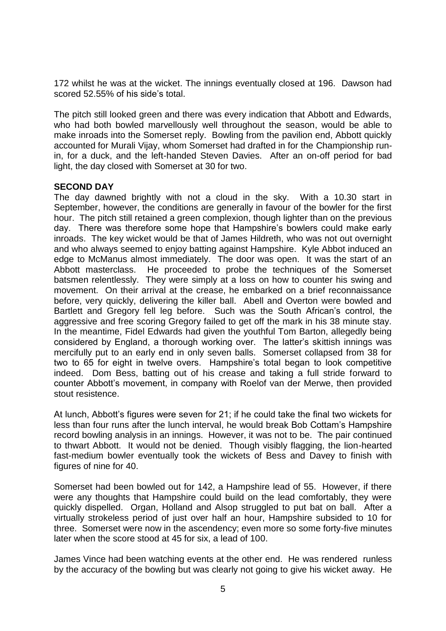172 whilst he was at the wicket. The innings eventually closed at 196. Dawson had scored 52.55% of his side's total.

The pitch still looked green and there was every indication that Abbott and Edwards, who had both bowled marvellously well throughout the season, would be able to make inroads into the Somerset reply. Bowling from the pavilion end, Abbott quickly accounted for Murali Vijay, whom Somerset had drafted in for the Championship runin, for a duck, and the left-handed Steven Davies. After an on-off period for bad light, the day closed with Somerset at 30 for two.

#### **SECOND DAY**

The day dawned brightly with not a cloud in the sky. With a 10.30 start in September, however, the conditions are generally in favour of the bowler for the first hour. The pitch still retained a green complexion, though lighter than on the previous day. There was therefore some hope that Hampshire's bowlers could make early inroads. The key wicket would be that of James Hildreth, who was not out overnight and who always seemed to enjoy batting against Hampshire. Kyle Abbot induced an edge to McManus almost immediately. The door was open. It was the start of an Abbott masterclass. He proceeded to probe the techniques of the Somerset batsmen relentlessly. They were simply at a loss on how to counter his swing and movement. On their arrival at the crease, he embarked on a brief reconnaissance before, very quickly, delivering the killer ball. Abell and Overton were bowled and Bartlett and Gregory fell leg before. Such was the South African's control, the aggressive and free scoring Gregory failed to get off the mark in his 38 minute stay. In the meantime, Fidel Edwards had given the youthful Tom Barton, allegedly being considered by England, a thorough working over. The latter's skittish innings was mercifully put to an early end in only seven balls. Somerset collapsed from 38 for two to 65 for eight in twelve overs. Hampshire's total began to look competitive indeed. Dom Bess, batting out of his crease and taking a full stride forward to counter Abbott's movement, in company with Roelof van der Merwe, then provided stout resistence.

At lunch, Abbott's figures were seven for 21; if he could take the final two wickets for less than four runs after the lunch interval, he would break Bob Cottam's Hampshire record bowling analysis in an innings. However, it was not to be. The pair continued to thwart Abbott. It would not be denied. Though visibly flagging, the lion-hearted fast-medium bowler eventually took the wickets of Bess and Davey to finish with figures of nine for 40.

Somerset had been bowled out for 142, a Hampshire lead of 55. However, if there were any thoughts that Hampshire could build on the lead comfortably, they were quickly dispelled. Organ, Holland and Alsop struggled to put bat on ball. After a virtually strokeless period of just over half an hour, Hampshire subsided to 10 for three. Somerset were now in the ascendency; even more so some forty-five minutes later when the score stood at 45 for six, a lead of 100.

James Vince had been watching events at the other end. He was rendered runless by the accuracy of the bowling but was clearly not going to give his wicket away. He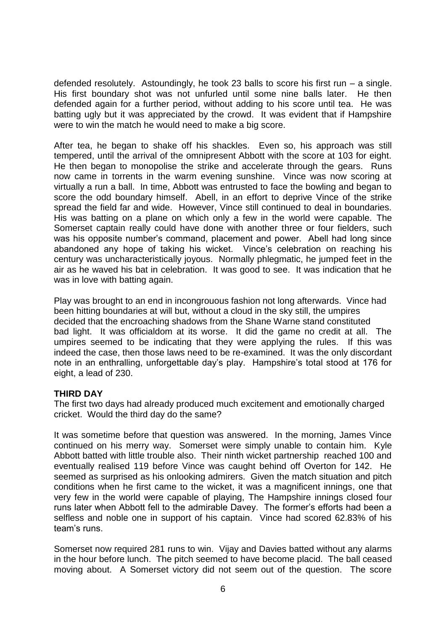defended resolutely. Astoundingly, he took 23 balls to score his first run – a single. His first boundary shot was not unfurled until some nine balls later. He then defended again for a further period, without adding to his score until tea. He was batting ugly but it was appreciated by the crowd. It was evident that if Hampshire were to win the match he would need to make a big score.

After tea, he began to shake off his shackles. Even so, his approach was still tempered, until the arrival of the omnipresent Abbott with the score at 103 for eight. He then began to monopolise the strike and accelerate through the gears. Runs now came in torrents in the warm evening sunshine. Vince was now scoring at virtually a run a ball. In time, Abbott was entrusted to face the bowling and began to score the odd boundary himself. Abell, in an effort to deprive Vince of the strike spread the field far and wide. However, Vince still continued to deal in boundaries. His was batting on a plane on which only a few in the world were capable. The Somerset captain really could have done with another three or four fielders, such was his opposite number's command, placement and power. Abell had long since abandoned any hope of taking his wicket. Vince's celebration on reaching his century was uncharacteristically joyous. Normally phlegmatic, he jumped feet in the air as he waved his bat in celebration. It was good to see. It was indication that he was in love with batting again.

Play was brought to an end in incongrouous fashion not long afterwards. Vince had been hitting boundaries at will but, without a cloud in the sky still, the umpires decided that the encroaching shadows from the Shane Warne stand constituted bad light. It was officialdom at its worse. It did the game no credit at all. The umpires seemed to be indicating that they were applying the rules. If this was indeed the case, then those laws need to be re-examined. It was the only discordant note in an enthralling, unforgettable day's play. Hampshire's total stood at 176 for eight, a lead of 230.

# **THIRD DAY**

The first two days had already produced much excitement and emotionally charged cricket. Would the third day do the same?

It was sometime before that question was answered. In the morning, James Vince continued on his merry way. Somerset were simply unable to contain him. Kyle Abbott batted with little trouble also. Their ninth wicket partnership reached 100 and eventually realised 119 before Vince was caught behind off Overton for 142. He seemed as surprised as his onlooking admirers. Given the match situation and pitch conditions when he first came to the wicket, it was a magnificent innings, one that very few in the world were capable of playing, The Hampshire innings closed four runs later when Abbott fell to the admirable Davey. The former's efforts had been a selfless and noble one in support of his captain. Vince had scored 62.83% of his team's runs.

Somerset now required 281 runs to win. Vijay and Davies batted without any alarms in the hour before lunch. The pitch seemed to have become placid. The ball ceased moving about. A Somerset victory did not seem out of the question. The score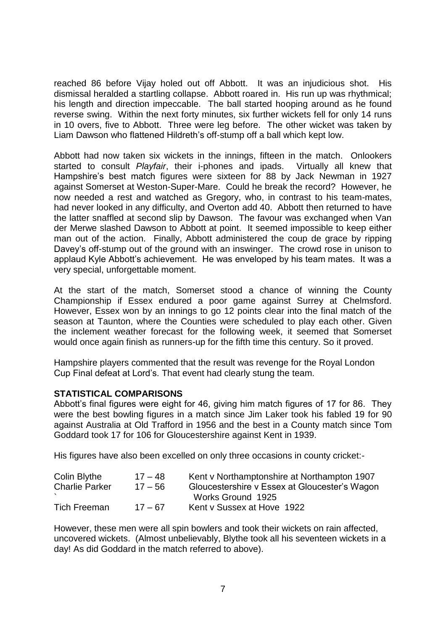reached 86 before Vijay holed out off Abbott. It was an injudicious shot. His dismissal heralded a startling collapse. Abbott roared in. His run up was rhythmical; his length and direction impeccable. The ball started hooping around as he found reverse swing. Within the next forty minutes, six further wickets fell for only 14 runs in 10 overs, five to Abbott. Three were leg before. The other wicket was taken by Liam Dawson who flattened Hildreth's off-stump off a ball which kept low.

Abbott had now taken six wickets in the innings, fifteen in the match. Onlookers started to consult *Playfair*, their i-phones and ipads. Virtually all knew that Hampshire's best match figures were sixteen for 88 by Jack Newman in 1927 against Somerset at Weston-Super-Mare. Could he break the record? However, he now needed a rest and watched as Gregory, who, in contrast to his team-mates, had never looked in any difficulty, and Overton add 40. Abbott then returned to have the latter snaffled at second slip by Dawson. The favour was exchanged when Van der Merwe slashed Dawson to Abbott at point. It seemed impossible to keep either man out of the action. Finally, Abbott administered the coup de grace by ripping Davey's off-stump out of the ground with an inswinger. The crowd rose in unison to applaud Kyle Abbott's achievement. He was enveloped by his team mates. It was a very special, unforgettable moment.

At the start of the match, Somerset stood a chance of winning the County Championship if Essex endured a poor game against Surrey at Chelmsford. However, Essex won by an innings to go 12 points clear into the final match of the season at Taunton, where the Counties were scheduled to play each other. Given the inclement weather forecast for the following week, it seemed that Somerset would once again finish as runners-up for the fifth time this century. So it proved.

Hampshire players commented that the result was revenge for the Royal London Cup Final defeat at Lord's. That event had clearly stung the team.

# **STATISTICAL COMPARISONS**

Abbott's final figures were eight for 46, giving him match figures of 17 for 86. They were the best bowling figures in a match since Jim Laker took his fabled 19 for 90 against Australia at Old Trafford in 1956 and the best in a County match since Tom Goddard took 17 for 106 for Gloucestershire against Kent in 1939.

His figures have also been excelled on only three occasions in county cricket:-

| Colin Blythe          | $17 - 48$ | Kent v Northamptonshire at Northampton 1907   |
|-----------------------|-----------|-----------------------------------------------|
| <b>Charlie Parker</b> | $17 - 56$ | Gloucestershire v Essex at Gloucester's Wagon |
|                       |           | Works Ground 1925                             |
| <b>Tich Freeman</b>   | $17 - 67$ | Kent v Sussex at Hove 1922                    |

However, these men were all spin bowlers and took their wickets on rain affected, uncovered wickets. (Almost unbelievably, Blythe took all his seventeen wickets in a day! As did Goddard in the match referred to above).